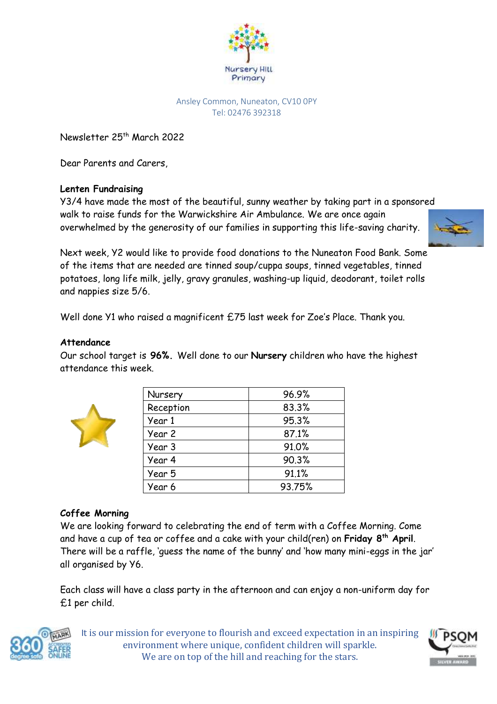

#### Ansley Common, Nuneaton, CV10 0PY Tel: 02476 392318

Newsletter 25<sup>th</sup> March 2022

Dear Parents and Carers,

# **Lenten Fundraising**

Y3/4 have made the most of the beautiful, sunny weather by taking part in a sponsored walk to raise funds for the Warwickshire Air Ambulance. We are once again overwhelmed by the generosity of our families in supporting this life-saving charity.



Next week, Y2 would like to provide food donations to the Nuneaton Food Bank. Some of the items that are needed are tinned soup/cuppa soups, tinned vegetables, tinned potatoes, long life milk, jelly, gravy granules, washing-up liquid, deodorant, toilet rolls and nappies size 5/6.

Well done Y1 who raised a magnificent £75 last week for Zoe's Place. Thank you.

### **Attendance**

Our school target is **96%.** Well done to our **Nursery** children who have the highest attendance this week.

| Nursery   | 96.9%  |
|-----------|--------|
| Reception | 83.3%  |
| Year 1    | 95.3%  |
| Year 2    | 87.1%  |
| Year 3    | 91.0%  |
| Year 4    | 90.3%  |
| Year 5    | 91.1%  |
| Year 6    | 93.75% |

# **Coffee Morning**

We are looking forward to celebrating the end of term with a Coffee Morning. Come and have a cup of tea or coffee and a cake with your child(ren) on **Friday 8th April**. There will be a raffle, 'guess the name of the bunny' and 'how many mini-eggs in the jar' all organised by Y6.

Each class will have a class party in the afternoon and can enjoy a non-uniform day for £1 per child.



It is our mission for everyone to flourish and exceed expectation in an inspiring environment where unique, confident children will sparkle. We are on top of the hill and reaching for the stars.